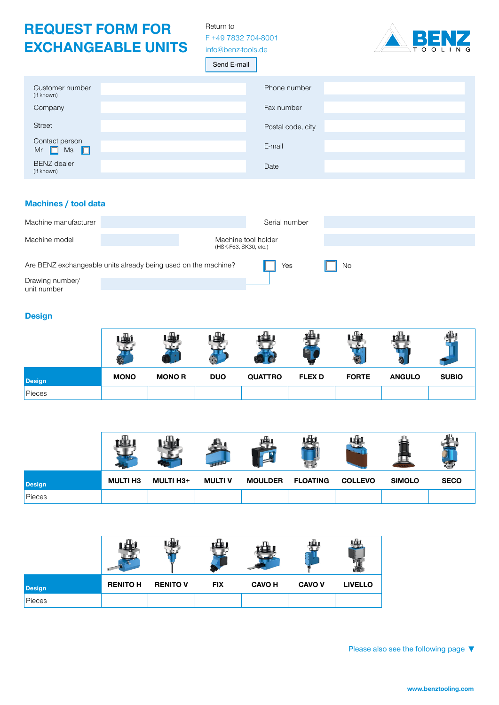## **REQUEST FORM FOR EXCHANGEABLE UNITS**

Return to F +49 7832 704-8001 [info@benz-tools.de](mailto:info%40benz-tools.de?subject=Inquiry%20-%20Exchangeable%20units)



Send E-mail

| Customer number<br>(if known)         | Phone number      |
|---------------------------------------|-------------------|
| Company                               | Fax number        |
| <b>Street</b>                         | Postal code, city |
| Contact person<br>Mr $\Box$ Ms $\Box$ | E-mail            |
| <b>BENZ</b> dealer<br>(if known)      | Date              |

## **Machines / tool data**

| Machine manufacturer           |                                                                |                       | Serial number       |    |  |
|--------------------------------|----------------------------------------------------------------|-----------------------|---------------------|----|--|
| Machine model                  |                                                                | (HSK-F63, SK30, etc.) | Machine tool holder |    |  |
|                                | Are BENZ exchangeable units already being used on the machine? |                       | Yes                 | No |  |
| Drawing number/<br>unit number |                                                                |                       |                     |    |  |

### **Design**

|               |             |              | лu,<br>in. |                |               |              |               |              |
|---------------|-------------|--------------|------------|----------------|---------------|--------------|---------------|--------------|
| <b>Design</b> | <b>MONO</b> | <b>MONOR</b> | <b>DUO</b> | <b>QUATTRO</b> | <b>FLEX D</b> | <b>FORTE</b> | <b>ANGULO</b> | <b>SUBIO</b> |
| Pieces        |             |              |            |                |               |              |               |              |

| <b>Design</b> | <b>MULTI H3</b> | <b>MULTI H3+</b> | <b>MULTI V</b> | <b>MOULDER</b> | <b>FLOATING</b> | <b>COLLEVO</b> | <b>SIMOLO</b> | <b>SECO</b> |
|---------------|-----------------|------------------|----------------|----------------|-----------------|----------------|---------------|-------------|
| Pieces        |                 |                  |                |                |                 |                |               |             |

| <b>Design</b> | <b>RENITO H</b> | <b>RENITO V</b> | <b>FIX</b> | <b>CAVO H</b> | <b>CAVO V</b> | <b>LIVELLO</b> |
|---------------|-----------------|-----------------|------------|---------------|---------------|----------------|
| Pieces        |                 |                 |            |               |               |                |

Please also see the following page **►**